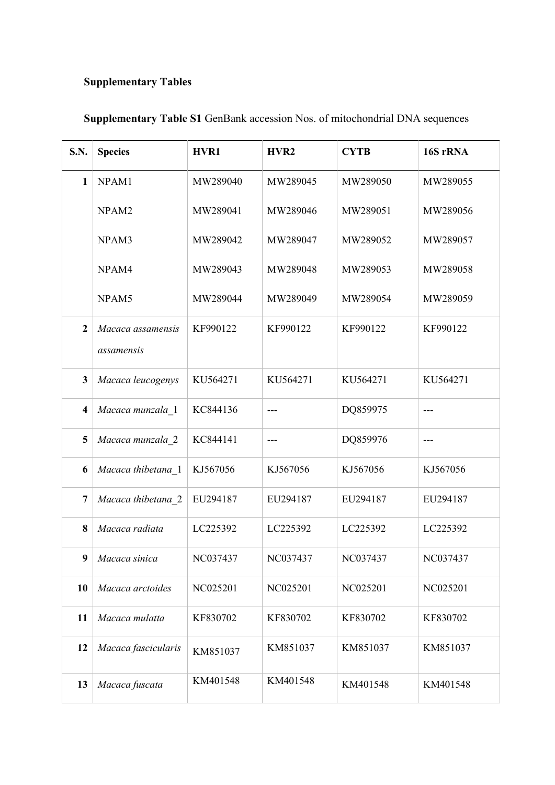## **Supplementary Tables**

| <b>S.N.</b>             | <b>Species</b>                  | HVR1     | HVR <sub>2</sub> | <b>CYTB</b> | 16S rRNA |
|-------------------------|---------------------------------|----------|------------------|-------------|----------|
| $\mathbf{1}$            | NPAM1                           | MW289040 | MW289045         | MW289050    | MW289055 |
|                         | NPAM <sub>2</sub>               | MW289041 | MW289046         | MW289051    | MW289056 |
|                         | NPAM3                           | MW289042 | MW289047         | MW289052    | MW289057 |
|                         | NPAM4                           | MW289043 | MW289048         | MW289053    | MW289058 |
|                         | NPAM5                           | MW289044 | MW289049         | MW289054    | MW289059 |
| $\overline{2}$          | Macaca assamensis<br>assamensis | KF990122 | KF990122         | KF990122    | KF990122 |
| $\mathbf{3}$            | Macaca leucogenys               | KU564271 | KU564271         | KU564271    | KU564271 |
| $\overline{\mathbf{4}}$ | Macaca munzala 1                | KC844136 | $---$            | DQ859975    | ---      |
| $\overline{\mathbf{5}}$ | Macaca munzala 2                | KC844141 | ---              | DQ859976    | $---$    |
| 6                       | Macaca thibetana_1              | KJ567056 | KJ567056         | KJ567056    | KJ567056 |
| $\overline{7}$          | Macaca thibetana 2              | EU294187 | EU294187         | EU294187    | EU294187 |
| 8                       | Macaca radiata                  | LC225392 | LC225392         | LC225392    | LC225392 |
| $\boldsymbol{9}$        | Macaca sinica                   | NC037437 | NC037437         | NC037437    | NC037437 |
| <b>10</b>               | Macaca arctoides                | NC025201 | NC025201         | NC025201    | NC025201 |
| 11                      | Macaca mulatta                  | KF830702 | KF830702         | KF830702    | KF830702 |
| 12                      | Macaca fascicularis             | KM851037 | KM851037         | KM851037    | KM851037 |
| 13                      | Macaca fuscata                  | KM401548 | KM401548         | KM401548    | KM401548 |

## **Supplementary Table S1** GenBank accession Nos. of mitochondrial DNA sequences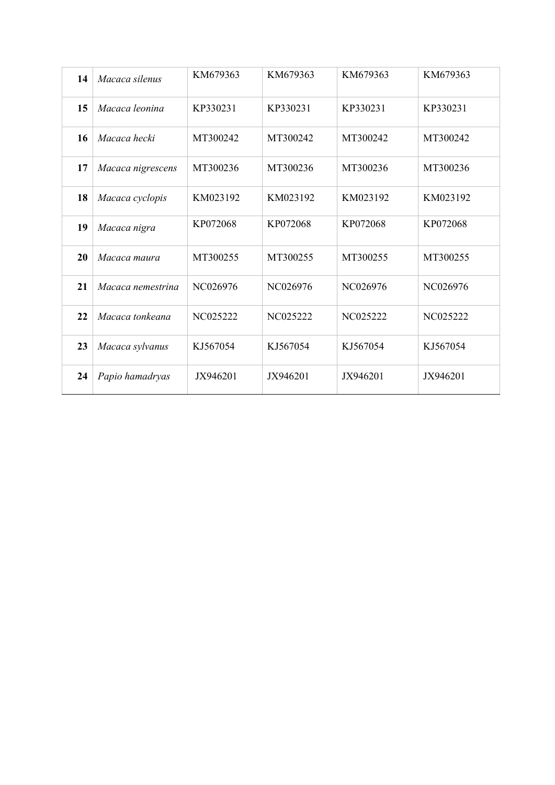| 14 | Macaca silenus    | KM679363 | KM679363 | KM679363 | KM679363 |
|----|-------------------|----------|----------|----------|----------|
| 15 | Macaca leonina    | KP330231 | KP330231 | KP330231 | KP330231 |
| 16 | Macaca hecki      | MT300242 | MT300242 | MT300242 | MT300242 |
| 17 | Macaca nigrescens | MT300236 | MT300236 | MT300236 | MT300236 |
| 18 | Macaca cyclopis   | KM023192 | KM023192 | KM023192 | KM023192 |
| 19 | Macaca nigra      | KP072068 | KP072068 | KP072068 | KP072068 |
| 20 | Macaca maura      | MT300255 | MT300255 | MT300255 | MT300255 |
| 21 | Macaca nemestrina | NC026976 | NC026976 | NC026976 | NC026976 |
| 22 | Macaca tonkeana   | NC025222 | NC025222 | NC025222 | NC025222 |
| 23 | Macaca sylvanus   | KJ567054 | KJ567054 | KJ567054 | KJ567054 |
| 24 | Papio hamadryas   | JX946201 | JX946201 | JX946201 | JX946201 |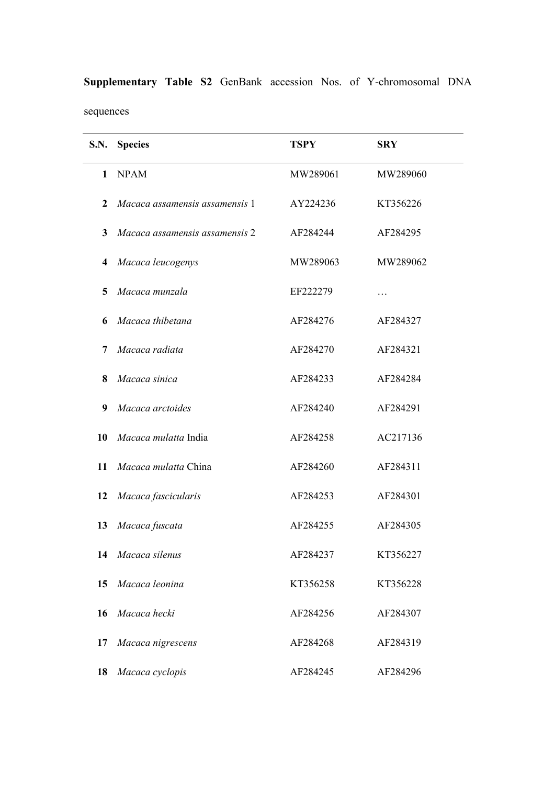| <b>S.N.</b>    | <b>Species</b>                 | <b>TSPY</b> | <b>SRY</b> |
|----------------|--------------------------------|-------------|------------|
| 1              | <b>NPAM</b>                    | MW289061    | MW289060   |
| 2              | Macaca assamensis assamensis 1 | AY224236    | KT356226   |
| $\mathbf{3}$   | Macaca assamensis assamensis 2 | AF284244    | AF284295   |
| $\overline{4}$ | Macaca leucogenys              | MW289063    | MW289062   |
| 5              | Macaca munzala                 | EF222279    |            |
| 6              | Macaca thibetana               | AF284276    | AF284327   |
| 7              | Macaca radiata                 | AF284270    | AF284321   |
| 8              | Macaca sinica                  | AF284233    | AF284284   |
| 9              | Macaca arctoides               | AF284240    | AF284291   |
| 10             | Macaca mulatta India           | AF284258    | AC217136   |
| 11             | Macaca mulatta China           | AF284260    | AF284311   |
| 12             | Macaca fascicularis            | AF284253    | AF284301   |
| 13             | Macaca fuscata                 | AF284255    | AF284305   |
| 14             | Macaca silenus                 | AF284237    | KT356227   |
| 15             | Macaca leonina                 | KT356258    | KT356228   |
| 16             | Macaca hecki                   | AF284256    | AF284307   |
| 17             | Macaca nigrescens              | AF284268    | AF284319   |
| 18             | Macaca cyclopis                | AF284245    | AF284296   |

**Supplementary Table S2** GenBank accession Nos. of Y-chromosomal DNA sequences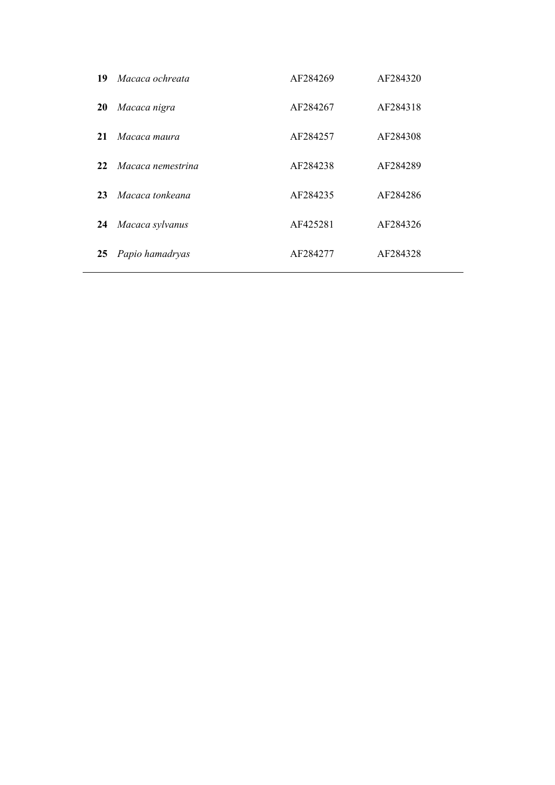| 19        | Macaca ochreata   | AF284269 | AF284320 |
|-----------|-------------------|----------|----------|
| <b>20</b> | Macaca nigra      | AF284267 | AF284318 |
| 21        | Macaca maura      | AF284257 | AF284308 |
| 22        | Macaca nemestrina | AF284238 | AF284289 |
| 23        | Macaca tonkeana   | AF284235 | AF284286 |
| 24        | Macaca sylvanus   | AF425281 | AF284326 |
| 25        | Papio hamadryas   | AF284277 | AF284328 |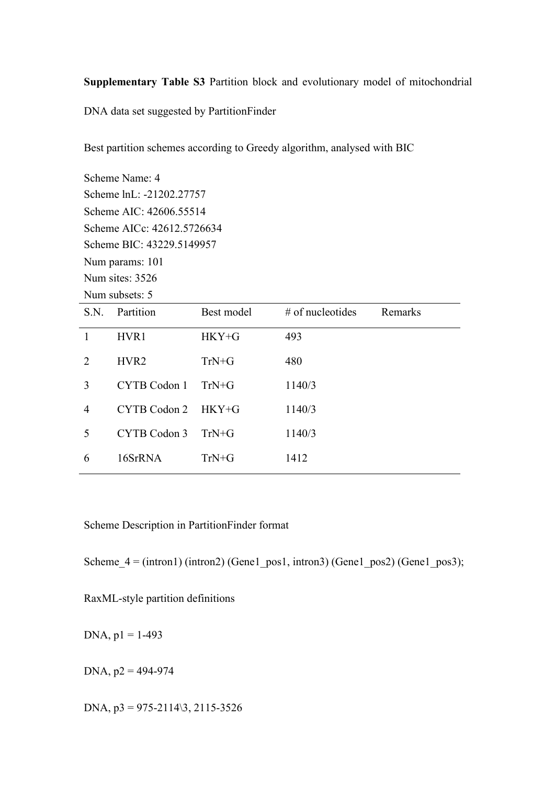**Supplementary Table S3** Partition block and evolutionary model of mitochondrial

DNA data set suggested by PartitionFinder

Best partition schemes according to Greedy algorithm, analysed with BIC

Scheme Name: 4 Scheme lnL: -21202.27757 Scheme AIC: 42606.55514 Scheme AICc: 42612.5726634 Scheme BIC: 43229.5149957 Num params: 101 Num sites: 3526 Num subsets: 5

| S.N.           | Partition        | Best model | $#$ of nucleotides | Remarks |
|----------------|------------------|------------|--------------------|---------|
|                | HVR1             | $HKY + G$  | 493                |         |
| 2              | HVR <sub>2</sub> | $TrN+G$    | 480                |         |
| 3              | CYTB Codon 1     | $TrN+G$    | 1140/3             |         |
| $\overline{4}$ | CYTB Codon 2     | $HKY + G$  | 1140/3             |         |
| 5              | CYTB Codon 3     | $TrN + G$  | 1140/3             |         |
| 6              | 16SrRNA          | $TrN+G$    | 1412               |         |

Scheme Description in PartitionFinder format

Scheme  $4 = (intron1) (intron2)$  (Gene1 pos1, intron3) (Gene1 pos2) (Gene1 pos3);

RaxML-style partition definitions

DNA,  $p1 = 1-493$ 

DNA,  $p2 = 494-974$ 

DNA,  $p3 = 975-2114\sqrt{3}, 2115-3526$